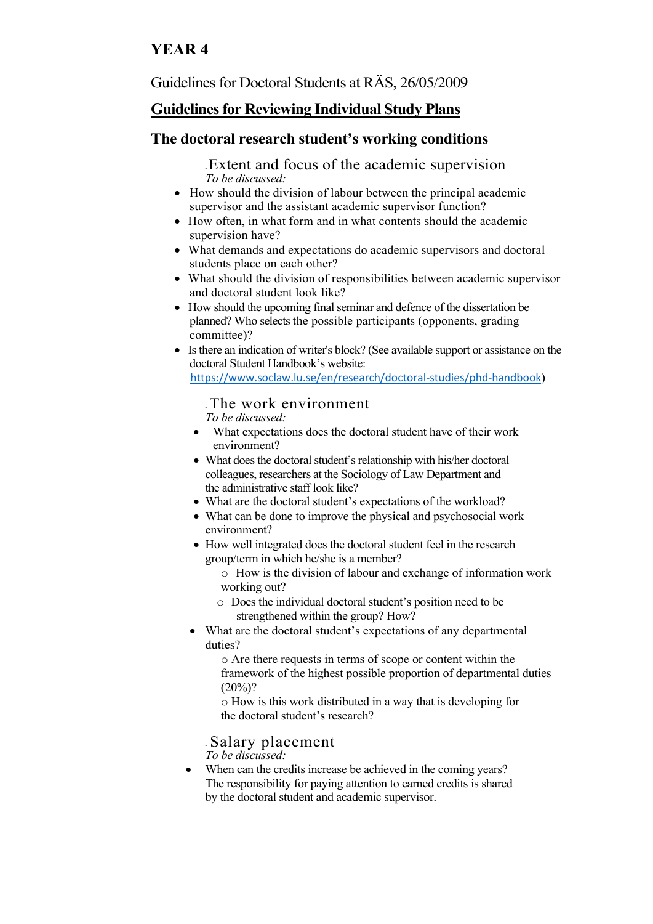# **YEAR 4**

Guidelines for Doctoral Students at RÄS, 26/05/2009

# **Guidelines for Reviewing Individual Study Plans**

#### **The doctoral research student's working conditions**

<sup>~</sup>Extent and focus of the academic supervision *To be discussed:*

- How should the division of labour between the principal academic supervisor and the assistant academic supervisor function?
- How often, in what form and in what contents should the academic supervision have?
- What demands and expectations do academic supervisors and doctoral students place on each other?
- What should the division of responsibilities between academic supervisor and doctoral student look like?
- How should the upcoming final seminar and defence of the dissertation be planned? Who selects the possible participants (opponents, grading committee)?
- Is there an indication of writer's block? (See available support or assistance on the doctoral Student Handbook's website: <https://www.soclaw.lu.se/en/research/doctoral-studies/phd-handbook>)

#### <sup>~</sup>The work environment

*To be discussed:*

- What expectations does the doctoral student have of their work environment?
- What does the doctoral student's relationship with his/her doctoral colleagues, researchers at the Sociology of Law Department and the administrative staff look like?
- What are the doctoral student's expectations of the workload?
- What can be done to improve the physical and psychosocial work environment?
- How well integrated does the doctoral student feel in the research group/term in which he/she is a member?
	- o How is the division of labour and exchange of information work working out?
	- o Does the individual doctoral student's position need to be strengthened within the group? How?
- What are the doctoral student's expectations of any departmental duties?

o Are there requests in terms of scope or content within the framework of the highest possible proportion of departmental duties  $(20\%)$ ?

o How is this work distributed in a way that is developing for the doctoral student's research?

<sup>~</sup>Salary placement

*To be discussed:*

• When can the credits increase be achieved in the coming years? The responsibility for paying attention to earned credits is shared by the doctoral student and academic supervisor.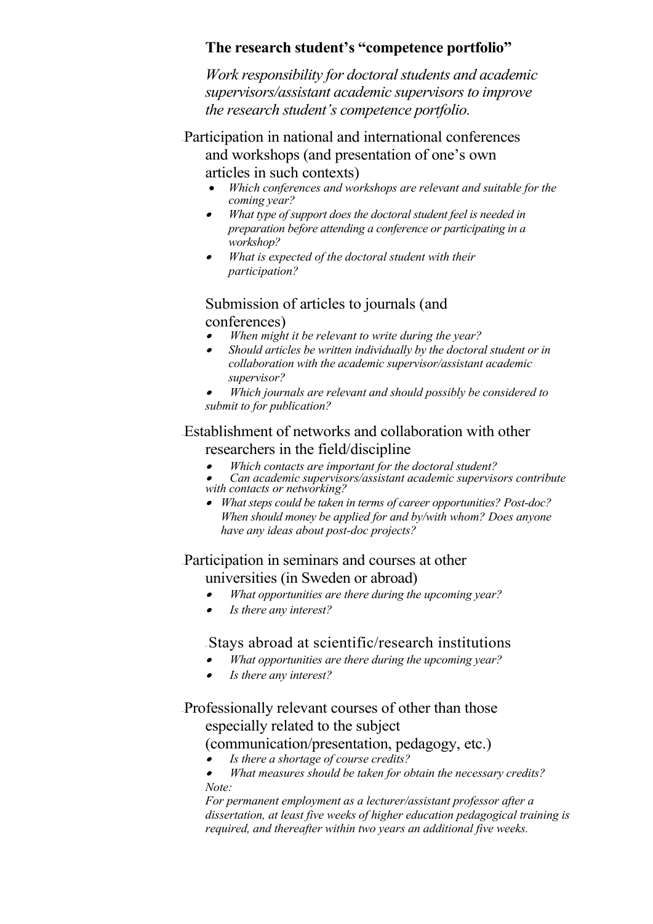### **The research student's "competence portfolio"**

*Work responsibility for doctoral students and academic supervisors/assistant academic supervisors to improve the research student's competence portfolio.*

<sup>~</sup>Participation in national and international conferences and workshops (and presentation of one's own articles in such contexts)

- *Which conferences and workshops are relevant and suitable for the coming year?*
- • *What type of support does the doctoral student feel is needed in preparation before attending a conference or participating in a workshop?*
- • *What is expected of the doctoral student with their participation?*

# Submission of articles to journals (and

conferences)

- •*When might it be relevant to write during the year?*
- • *Should articles be written individually by the doctoral student or in collaboration with the academic supervisor/assistant academic supervisor?*
- • *Which journals are relevant and should possibly be considered to submit to for publication?*

# <sup>~</sup>Establishment of networks and collaboration with other researchers in the field/discipline

- •*Which contacts are important for the doctoral student?*
- *Can academic supervisors/assistant academic supervisors contribute with contacts or networking?*
- *What steps could be taken in terms of career opportunities? Post-doc? When should money be applied for and by/with whom? Does anyone have any ideas about post-doc projects?*

### <sup>~</sup>Participation in seminars and courses at other universities (in Sweden or abroad)

- •*What opportunities are there during the upcoming year?*
- •*Is there any interest?*

# <sup>~</sup> Stays abroad at scientific/research institutions

- •*What opportunities are there during the upcoming year?*
- •*Is there any interest?*

# <sup>~</sup>Professionally relevant courses of other than those especially related to the subject

#### (communication/presentation, pedagogy, etc.)

- •*Is there a shortage of course credits?*
- • *What measures should be taken for obtain the necessary credits? Note:*

*For permanent employment as a lecturer/assistant professor after a dissertation, at least five weeks of higher education pedagogical training is required, and thereafter within two years an additional five weeks.*